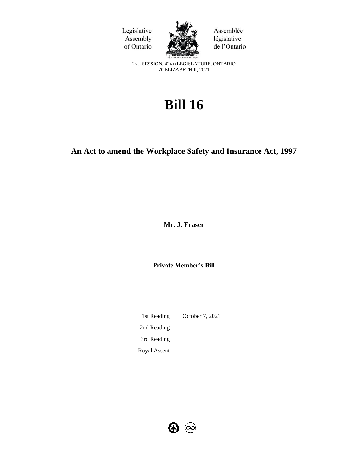



Assemblée législative de l'Ontario

2ND SESSION, 42ND LEGISLATURE, ONTARIO 70 ELIZABETH II, 2021

# **Bill 16**

## **An Act to amend the Workplace Safety and Insurance Act, 1997**

**Mr. J. Fraser**

**Private Member's Bill**

1st Reading October 7, 2021 2nd Reading 3rd Reading Royal Assent